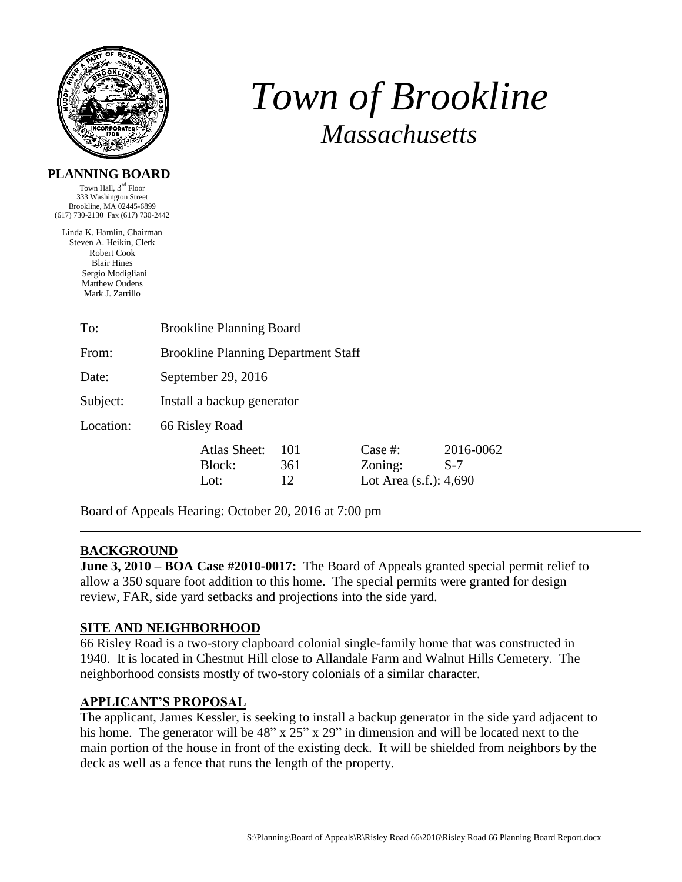

# *Town of Brookline Massachusetts*

#### **PLANNING BOARD**

Town Hall, 3<sup>rd</sup> Floor 333 Washington Street Brookline, MA 02445-6899 (617) 730-2130 Fax (617) 730-2442

Linda K. Hamlin, Chairman Steven A. Heikin, Clerk Robert Cook Blair Hines Sergio Modigliani Matthew Oudens Mark J. Zarrillo

| To:       | <b>Brookline Planning Board</b>            |                  |                                                 |                    |  |  |
|-----------|--------------------------------------------|------------------|-------------------------------------------------|--------------------|--|--|
| From:     | <b>Brookline Planning Department Staff</b> |                  |                                                 |                    |  |  |
| Date:     | September 29, 2016                         |                  |                                                 |                    |  |  |
| Subject:  | Install a backup generator                 |                  |                                                 |                    |  |  |
| Location: | 66 Risley Road                             |                  |                                                 |                    |  |  |
|           | Atlas Sheet:<br>Block:<br>Lot:             | 101<br>361<br>12 | Case #:<br>Zoning:<br>Lot Area $(s.f.)$ : 4,690 | 2016-0062<br>$S-7$ |  |  |

Board of Appeals Hearing: October 20, 2016 at 7:00 pm

# **BACKGROUND**

**June 3, 2010 – BOA Case #2010-0017:** The Board of Appeals granted special permit relief to allow a 350 square foot addition to this home. The special permits were granted for design review, FAR, side yard setbacks and projections into the side yard.

# **SITE AND NEIGHBORHOOD**

66 Risley Road is a two-story clapboard colonial single-family home that was constructed in 1940. It is located in Chestnut Hill close to Allandale Farm and Walnut Hills Cemetery. The neighborhood consists mostly of two-story colonials of a similar character.

#### **APPLICANT'S PROPOSAL**

The applicant, James Kessler, is seeking to install a backup generator in the side yard adjacent to his home. The generator will be 48" x 25" x 29" in dimension and will be located next to the main portion of the house in front of the existing deck. It will be shielded from neighbors by the deck as well as a fence that runs the length of the property.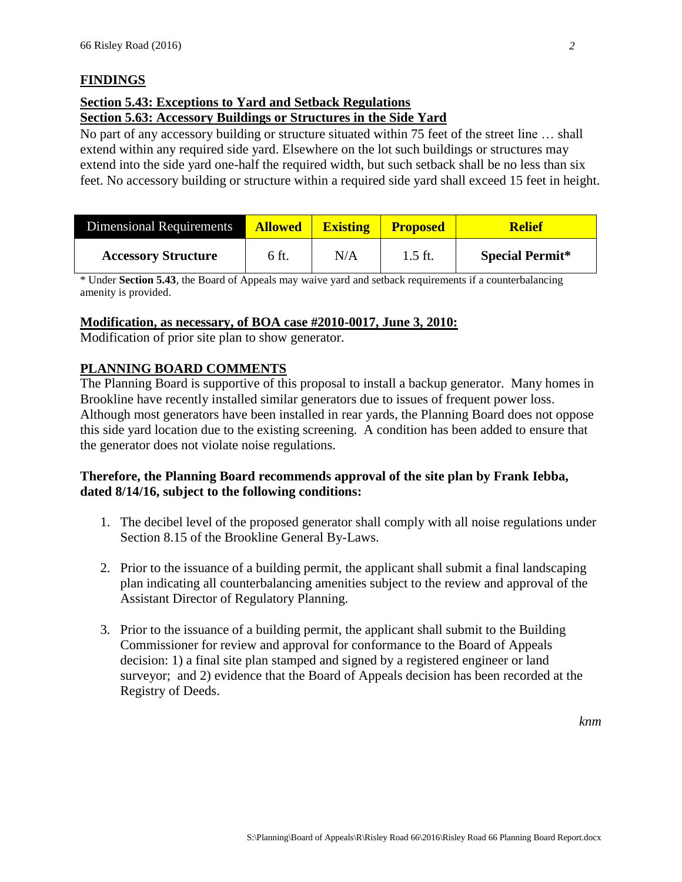### **FINDINGS**

# **Section 5.43: Exceptions to Yard and Setback Regulations Section 5.63: Accessory Buildings or Structures in the Side Yard**

No part of any accessory building or structure situated within 75 feet of the street line … shall extend within any required side yard. Elsewhere on the lot such buildings or structures may extend into the side yard one-half the required width, but such setback shall be no less than six feet. No accessory building or structure within a required side yard shall exceed 15 feet in height.

| Dimensional Requirements   | <b>Allowed</b> | <b>Existing</b> | <b>Proposed</b> | <b>Relief</b>          |
|----------------------------|----------------|-----------------|-----------------|------------------------|
| <b>Accessory Structure</b> | 6 ft.          | N/A             | $1.5$ ft.       | <b>Special Permit*</b> |

\* Under **Section 5.43**, the Board of Appeals may waive yard and setback requirements if a counterbalancing amenity is provided.

#### **Modification, as necessary, of BOA case #2010-0017, June 3, 2010:**

Modification of prior site plan to show generator.

# **PLANNING BOARD COMMENTS**

The Planning Board is supportive of this proposal to install a backup generator. Many homes in Brookline have recently installed similar generators due to issues of frequent power loss. Although most generators have been installed in rear yards, the Planning Board does not oppose this side yard location due to the existing screening. A condition has been added to ensure that the generator does not violate noise regulations.

# **Therefore, the Planning Board recommends approval of the site plan by Frank Iebba, dated 8/14/16, subject to the following conditions:**

- 1. The decibel level of the proposed generator shall comply with all noise regulations under Section 8.15 of the Brookline General By-Laws.
- 2. Prior to the issuance of a building permit, the applicant shall submit a final landscaping plan indicating all counterbalancing amenities subject to the review and approval of the Assistant Director of Regulatory Planning.
- 3. Prior to the issuance of a building permit, the applicant shall submit to the Building Commissioner for review and approval for conformance to the Board of Appeals decision: 1) a final site plan stamped and signed by a registered engineer or land surveyor; and 2) evidence that the Board of Appeals decision has been recorded at the Registry of Deeds.

*knm*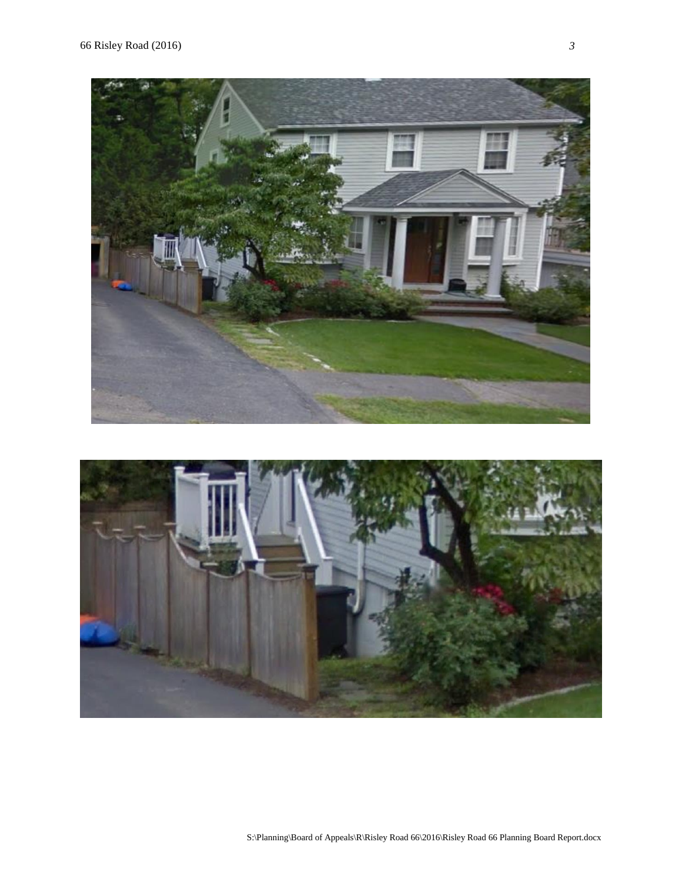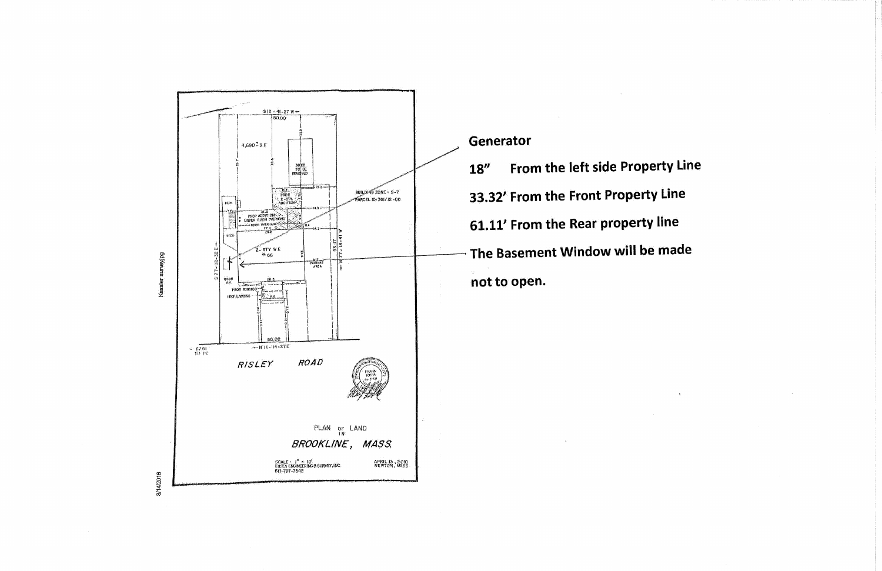

# Generator

From the left side Property Line  $18''$ 33.32' From the Front Property Line 61.11' From the Rear property line The Basement Window will be made not to open.

 $\sim$ 

 $\mathcal{A}^{\pm}$